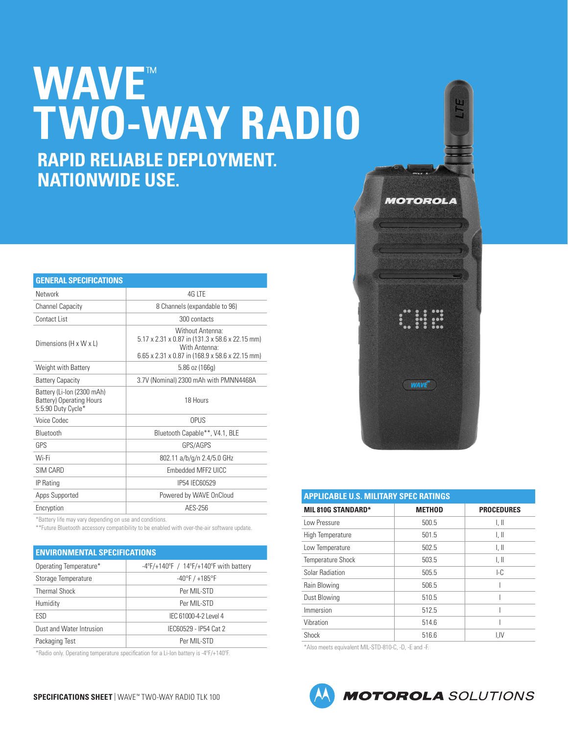# **NATIONWIDE USE. WAVE**™ **TWO-WAY RADIO RAPID RELIABLE DEPLOYMENT.**

| <b>GENERAL SPECIFICATIONS</b>                                                       |                                                                                                                                                     |
|-------------------------------------------------------------------------------------|-----------------------------------------------------------------------------------------------------------------------------------------------------|
| Network                                                                             | 4G LTE                                                                                                                                              |
| <b>Channel Capacity</b>                                                             | 8 Channels (expandable to 96)                                                                                                                       |
| Contact List                                                                        | 300 contacts                                                                                                                                        |
| Dimensions (H x W x L)                                                              | Without Antenna:<br>5.17 x 2.31 x 0.87 in (131.3 x 58.6 x 22.15 mm)<br>With Antenna <sup>-</sup><br>6.65 x 2.31 x 0.87 in (168.9 x 58.6 x 22.15 mm) |
| Weight with Battery                                                                 | $5.86$ oz (166g)                                                                                                                                    |
| <b>Battery Capacity</b>                                                             | 3.7V (Nominal) 2300 mAh with PMNN4468A                                                                                                              |
| Battery (Li-lon (2300 mAh)<br><b>Battery) Operating Hours</b><br>5:5:90 Duty Cycle* | 18 Hours                                                                                                                                            |
| <b>Voice Codec</b>                                                                  | <b>OPUS</b>                                                                                                                                         |
| Bluetooth                                                                           | Bluetooth Capable**, V4.1, BLE                                                                                                                      |
| GPS                                                                                 | GPS/AGPS                                                                                                                                            |
| Wi-Fi                                                                               | 802.11 a/b/g/n 2.4/5.0 GHz                                                                                                                          |
| SIM CARD                                                                            | Embedded MFF2 UICC                                                                                                                                  |
| <b>IP Rating</b>                                                                    | IP54 IEC60529                                                                                                                                       |
| Apps Supported                                                                      | Powered by WAVE OnCloud                                                                                                                             |
| Encryption                                                                          | AES-256                                                                                                                                             |

\*Battery life may vary depending on use and conditions.

\*\*Future Bluetooth accessory compatibility to be enabled with over-the-air software update.

| <b>ENVIRONMENTAL SPECIFICATIONS</b> |                                                                      |  |
|-------------------------------------|----------------------------------------------------------------------|--|
| Operating Temperature*              | $-4^{\circ}F/+140^{\circ}F / 14^{\circ}F/+140^{\circ}F$ with battery |  |
| Storage Temperature                 | $-40^{\circ}$ F / $+185^{\circ}$ F                                   |  |
| <b>Thermal Shock</b>                | Per MIL-STD                                                          |  |
| Humidity                            | Per MIL-STD                                                          |  |
| ESD                                 | IEC 61000-4-2 Level 4                                                |  |
| Dust and Water Intrusion            | IEC60529 - IP54 Cat 2                                                |  |
| Packaging Test                      | Per MIL-STD                                                          |  |

\*Radio only. Operating temperature specification for a Li-Ion battery is -4ºF/+140ºF.



| <b>APPLICABLE U.S. MILITARY SPEC RATINGS</b> |               |                   |
|----------------------------------------------|---------------|-------------------|
| <b>MIL 810G STANDARD*</b>                    | <b>METHOD</b> | <b>PROCEDURES</b> |
| Low Pressure                                 | 500.5         | I, II             |
| High Temperature                             | 501.5         | I, II             |
| Low Temperature                              | 502.5         | l. II             |
| <b>Temperature Shock</b>                     | 503.5         | l. II             |
| Solar Radiation                              | 505.5         | LC                |
| Rain Blowing                                 | 506.5         |                   |
| Dust Blowing                                 | 510.5         |                   |
| Immersion                                    | 512.5         |                   |
| Vibration                                    | 514.6         |                   |
| Shock                                        | 516.6         | <b>I.IV</b>       |

\*Also meets equivalent MIL-STD-810-C, -D, -E and -F.